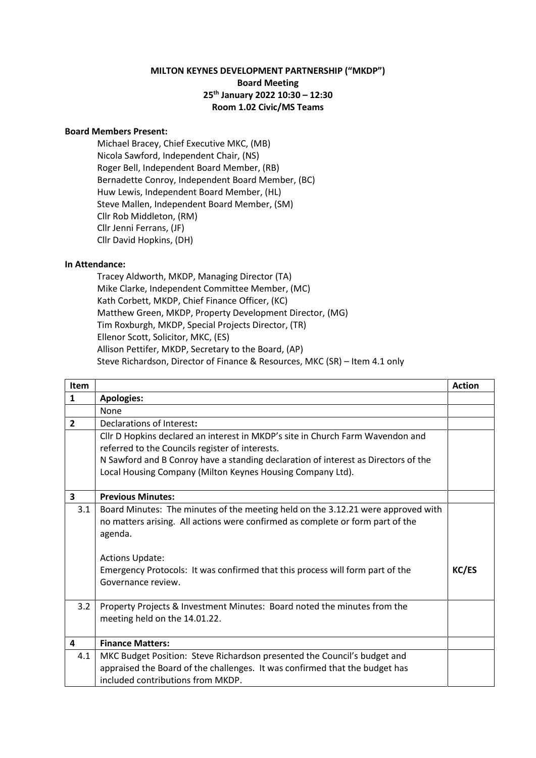## **MILTON KEYNES DEVELOPMENT PARTNERSHIP ("MKDP") Board Meeting 25th January 2022 10:30 – 12:30 Room 1.02 Civic/MS Teams**

## **Board Members Present:**

Michael Bracey, Chief Executive MKC, (MB) Nicola Sawford, Independent Chair, (NS) Roger Bell, Independent Board Member, (RB) Bernadette Conroy, Independent Board Member, (BC) Huw Lewis, Independent Board Member, (HL) Steve Mallen, Independent Board Member, (SM) Cllr Rob Middleton, (RM) Cllr Jenni Ferrans, (JF) Cllr David Hopkins, (DH)

## **In Attendance:**

Tracey Aldworth, MKDP, Managing Director (TA) Mike Clarke, Independent Committee Member, (MC) Kath Corbett, MKDP, Chief Finance Officer, (KC) Matthew Green, MKDP, Property Development Director, (MG) Tim Roxburgh, MKDP, Special Projects Director, (TR) Ellenor Scott, Solicitor, MKC, (ES) Allison Pettifer, MKDP, Secretary to the Board, (AP) Steve Richardson, Director of Finance & Resources, MKC (SR) – Item 4.1 only

| Item                    |                                                                                    | <b>Action</b> |
|-------------------------|------------------------------------------------------------------------------------|---------------|
| $\mathbf{1}$            | <b>Apologies:</b>                                                                  |               |
|                         | None                                                                               |               |
| $\overline{2}$          | Declarations of Interest:                                                          |               |
|                         | Cllr D Hopkins declared an interest in MKDP's site in Church Farm Wavendon and     |               |
|                         | referred to the Councils register of interests.                                    |               |
|                         | N Sawford and B Conroy have a standing declaration of interest as Directors of the |               |
|                         | Local Housing Company (Milton Keynes Housing Company Ltd).                         |               |
|                         |                                                                                    |               |
| $\overline{\mathbf{3}}$ | <b>Previous Minutes:</b>                                                           |               |
| 3.1                     | Board Minutes: The minutes of the meeting held on the 3.12.21 were approved with   |               |
|                         | no matters arising. All actions were confirmed as complete or form part of the     |               |
|                         | agenda.                                                                            |               |
|                         |                                                                                    |               |
|                         | <b>Actions Update:</b>                                                             |               |
|                         | Emergency Protocols: It was confirmed that this process will form part of the      | KC/ES         |
|                         | Governance review.                                                                 |               |
|                         |                                                                                    |               |
| 3.2                     | Property Projects & Investment Minutes: Board noted the minutes from the           |               |
|                         | meeting held on the 14.01.22.                                                      |               |
|                         |                                                                                    |               |
| 4                       | <b>Finance Matters:</b>                                                            |               |
| 4.1                     | MKC Budget Position: Steve Richardson presented the Council's budget and           |               |
|                         | appraised the Board of the challenges. It was confirmed that the budget has        |               |
|                         | included contributions from MKDP.                                                  |               |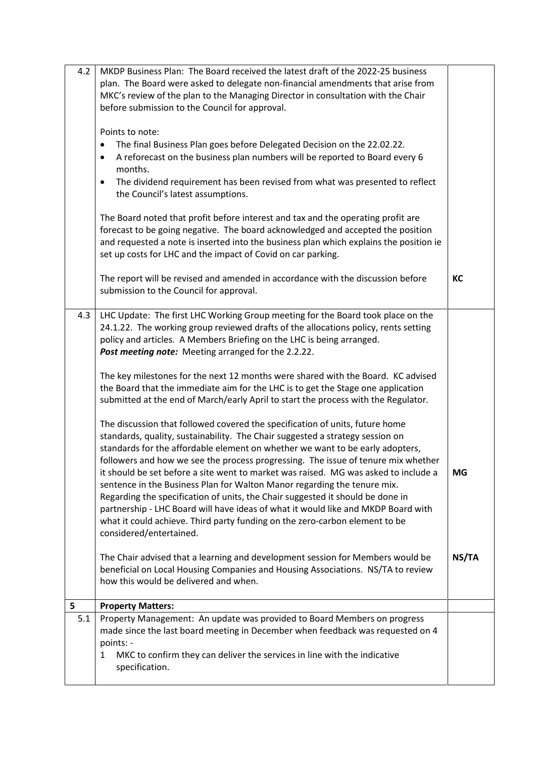| 4.2 | MKDP Business Plan: The Board received the latest draft of the 2022-25 business<br>plan. The Board were asked to delegate non-financial amendments that arise from<br>MKC's review of the plan to the Managing Director in consultation with the Chair<br>before submission to the Council for approval.<br>Points to note:<br>The final Business Plan goes before Delegated Decision on the 22.02.22.<br>A reforecast on the business plan numbers will be reported to Board every 6<br>$\bullet$<br>months.<br>The dividend requirement has been revised from what was presented to reflect<br>$\bullet$<br>the Council's latest assumptions.<br>The Board noted that profit before interest and tax and the operating profit are |           |
|-----|-------------------------------------------------------------------------------------------------------------------------------------------------------------------------------------------------------------------------------------------------------------------------------------------------------------------------------------------------------------------------------------------------------------------------------------------------------------------------------------------------------------------------------------------------------------------------------------------------------------------------------------------------------------------------------------------------------------------------------------|-----------|
|     | forecast to be going negative. The board acknowledged and accepted the position<br>and requested a note is inserted into the business plan which explains the position ie<br>set up costs for LHC and the impact of Covid on car parking.                                                                                                                                                                                                                                                                                                                                                                                                                                                                                           |           |
|     | The report will be revised and amended in accordance with the discussion before<br>submission to the Council for approval.                                                                                                                                                                                                                                                                                                                                                                                                                                                                                                                                                                                                          | KC        |
| 4.3 | LHC Update: The first LHC Working Group meeting for the Board took place on the<br>24.1.22. The working group reviewed drafts of the allocations policy, rents setting<br>policy and articles. A Members Briefing on the LHC is being arranged.<br>Post meeting note: Meeting arranged for the 2.2.22.                                                                                                                                                                                                                                                                                                                                                                                                                              |           |
|     | The key milestones for the next 12 months were shared with the Board. KC advised<br>the Board that the immediate aim for the LHC is to get the Stage one application<br>submitted at the end of March/early April to start the process with the Regulator.                                                                                                                                                                                                                                                                                                                                                                                                                                                                          |           |
|     | The discussion that followed covered the specification of units, future home<br>standards, quality, sustainability. The Chair suggested a strategy session on<br>standards for the affordable element on whether we want to be early adopters,<br>followers and how we see the process progressing. The issue of tenure mix whether                                                                                                                                                                                                                                                                                                                                                                                                 |           |
|     | it should be set before a site went to market was raised. MG was asked to include a<br>sentence in the Business Plan for Walton Manor regarding the tenure mix.<br>Regarding the specification of units, the Chair suggested it should be done in<br>partnership - LHC Board will have ideas of what it would like and MKDP Board with<br>what it could achieve. Third party funding on the zero-carbon element to be<br>considered/entertained.                                                                                                                                                                                                                                                                                    | <b>MG</b> |
|     | The Chair advised that a learning and development session for Members would be<br>beneficial on Local Housing Companies and Housing Associations. NS/TA to review<br>how this would be delivered and when.                                                                                                                                                                                                                                                                                                                                                                                                                                                                                                                          | NS/TA     |
| 5   | <b>Property Matters:</b>                                                                                                                                                                                                                                                                                                                                                                                                                                                                                                                                                                                                                                                                                                            |           |
| 5.1 | Property Management: An update was provided to Board Members on progress<br>made since the last board meeting in December when feedback was requested on 4<br>points: -<br>MKC to confirm they can deliver the services in line with the indicative<br>1<br>specification.                                                                                                                                                                                                                                                                                                                                                                                                                                                          |           |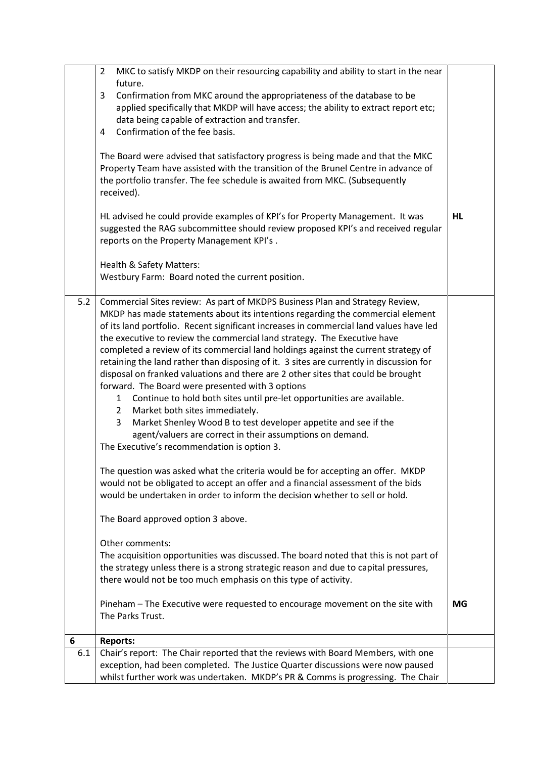|          | MKC to satisfy MKDP on their resourcing capability and ability to start in the near<br>2<br>future.<br>Confirmation from MKC around the appropriateness of the database to be<br>3<br>applied specifically that MKDP will have access; the ability to extract report etc;<br>data being capable of extraction and transfer.<br>Confirmation of the fee basis.<br>4<br>The Board were advised that satisfactory progress is being made and that the MKC<br>Property Team have assisted with the transition of the Brunel Centre in advance of<br>the portfolio transfer. The fee schedule is awaited from MKC. (Subsequently<br>received).<br>HL advised he could provide examples of KPI's for Property Management. It was<br>suggested the RAG subcommittee should review proposed KPI's and received regular<br>reports on the Property Management KPI's.<br>Health & Safety Matters:                                                                                                                                                                                                                                                                                                                                                                                                                                                                                                                                                                                                                                                                                                                                                                              | HL |
|----------|----------------------------------------------------------------------------------------------------------------------------------------------------------------------------------------------------------------------------------------------------------------------------------------------------------------------------------------------------------------------------------------------------------------------------------------------------------------------------------------------------------------------------------------------------------------------------------------------------------------------------------------------------------------------------------------------------------------------------------------------------------------------------------------------------------------------------------------------------------------------------------------------------------------------------------------------------------------------------------------------------------------------------------------------------------------------------------------------------------------------------------------------------------------------------------------------------------------------------------------------------------------------------------------------------------------------------------------------------------------------------------------------------------------------------------------------------------------------------------------------------------------------------------------------------------------------------------------------------------------------------------------------------------------------|----|
|          | Westbury Farm: Board noted the current position.                                                                                                                                                                                                                                                                                                                                                                                                                                                                                                                                                                                                                                                                                                                                                                                                                                                                                                                                                                                                                                                                                                                                                                                                                                                                                                                                                                                                                                                                                                                                                                                                                     |    |
| 5.2      | Commercial Sites review: As part of MKDPS Business Plan and Strategy Review,<br>MKDP has made statements about its intentions regarding the commercial element<br>of its land portfolio. Recent significant increases in commercial land values have led<br>the executive to review the commercial land strategy. The Executive have<br>completed a review of its commercial land holdings against the current strategy of<br>retaining the land rather than disposing of it. 3 sites are currently in discussion for<br>disposal on franked valuations and there are 2 other sites that could be brought<br>forward. The Board were presented with 3 options<br>Continue to hold both sites until pre-let opportunities are available.<br>$\mathbf{1}$<br>Market both sites immediately.<br>$\mathbf{2}$<br>Market Shenley Wood B to test developer appetite and see if the<br>3<br>agent/valuers are correct in their assumptions on demand.<br>The Executive's recommendation is option 3.<br>The question was asked what the criteria would be for accepting an offer. MKDP<br>would not be obligated to accept an offer and a financial assessment of the bids<br>would be undertaken in order to inform the decision whether to sell or hold.<br>The Board approved option 3 above.<br>Other comments:<br>The acquisition opportunities was discussed. The board noted that this is not part of<br>the strategy unless there is a strong strategic reason and due to capital pressures,<br>there would not be too much emphasis on this type of activity.<br>Pineham - The Executive were requested to encourage movement on the site with<br>The Parks Trust. | MG |
| 6<br>6.1 | <b>Reports:</b><br>Chair's report: The Chair reported that the reviews with Board Members, with one                                                                                                                                                                                                                                                                                                                                                                                                                                                                                                                                                                                                                                                                                                                                                                                                                                                                                                                                                                                                                                                                                                                                                                                                                                                                                                                                                                                                                                                                                                                                                                  |    |
|          | exception, had been completed. The Justice Quarter discussions were now paused<br>whilst further work was undertaken. MKDP's PR & Comms is progressing. The Chair                                                                                                                                                                                                                                                                                                                                                                                                                                                                                                                                                                                                                                                                                                                                                                                                                                                                                                                                                                                                                                                                                                                                                                                                                                                                                                                                                                                                                                                                                                    |    |